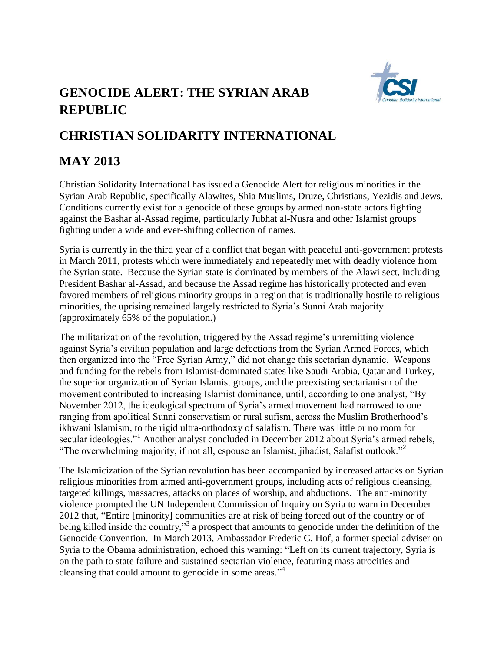## **GENOCIDE ALERT: THE SYRIAN ARAB REPUBLIC**



## **CHRISTIAN SOLIDARITY INTERNATIONAL**

## **MAY 2013**

Christian Solidarity International has issued a Genocide Alert for religious minorities in the Syrian Arab Republic, specifically Alawites, Shia Muslims, Druze, Christians, Yezidis and Jews. Conditions currently exist for a genocide of these groups by armed non-state actors fighting against the Bashar al-Assad regime, particularly Jubhat al-Nusra and other Islamist groups fighting under a wide and ever-shifting collection of names.

Syria is currently in the third year of a conflict that began with peaceful anti-government protests in March 2011, protests which were immediately and repeatedly met with deadly violence from the Syrian state. Because the Syrian state is dominated by members of the Alawi sect, including President Bashar al-Assad, and because the Assad regime has historically protected and even favored members of religious minority groups in a region that is traditionally hostile to religious minorities, the uprising remained largely restricted to Syria's Sunni Arab majority (approximately 65% of the population.)

The militarization of the revolution, triggered by the Assad regime's unremitting violence against Syria's civilian population and large defections from the Syrian Armed Forces, which then organized into the "Free Syrian Army," did not change this sectarian dynamic. Weapons and funding for the rebels from Islamist-dominated states like Saudi Arabia, Qatar and Turkey, the superior organization of Syrian Islamist groups, and the preexisting sectarianism of the movement contributed to increasing Islamist dominance, until, according to one analyst, "By November 2012, the ideological spectrum of Syria's armed movement had narrowed to one ranging from apolitical Sunni conservatism or rural sufism, across the Muslim Brotherhood's ikhwani Islamism, to the rigid ultra-orthodoxy of salafism. There was little or no room for secular ideologies."<sup>1</sup> Another analyst concluded in December 2012 about Syria's armed rebels, "The overwhelming majority, if not all, espouse an Islamist, jihadist, Salafist outlook."<sup>2</sup>

The Islamicization of the Syrian revolution has been accompanied by increased attacks on Syrian religious minorities from armed anti-government groups, including acts of religious cleansing, targeted killings, massacres, attacks on places of worship, and abductions. The anti-minority violence prompted the UN Independent Commission of Inquiry on Syria to warn in December 2012 that, "Entire [minority] communities are at risk of being forced out of the country or of being killed inside the country,"<sup>3</sup> a prospect that amounts to genocide under the definition of the Genocide Convention. In March 2013, Ambassador Frederic C. Hof, a former special adviser on Syria to the Obama administration, echoed this warning: "Left on its current trajectory, Syria is on the path to state failure and sustained sectarian violence, featuring mass atrocities and cleansing that could amount to genocide in some areas."<sup>4</sup>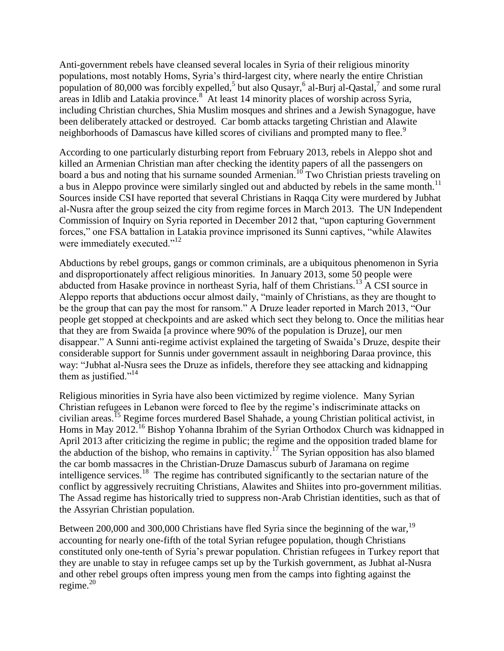Anti-government rebels have cleansed several locales in Syria of their religious minority populations, most notably Homs, Syria's third-largest city, where nearly the entire Christian population of 80,000 was forcibly expelled,<sup>5</sup> but also Qusayr,<sup>6</sup> al-Burj al-Qastal,<sup>7</sup> and some rural areas in Idlib and Latakia province.<sup>8</sup> At least 14 minority places of worship across Syria, including Christian churches, Shia Muslim mosques and shrines and a Jewish Synagogue, have been deliberately attacked or destroyed. Car bomb attacks targeting Christian and Alawite neighborhoods of Damascus have killed scores of civilians and prompted many to flee.<sup>9</sup>

According to one particularly disturbing report from February 2013, rebels in Aleppo shot and killed an Armenian Christian man after checking the identity papers of all the passengers on board a bus and noting that his surname sounded Armenian.<sup>10</sup> Two Christian priests traveling on a bus in Aleppo province were similarly singled out and abducted by rebels in the same month.<sup>11</sup> Sources inside CSI have reported that several Christians in Raqqa City were murdered by Jubhat al-Nusra after the group seized the city from regime forces in March 2013. The UN Independent Commission of Inquiry on Syria reported in December 2012 that, "upon capturing Government forces," one FSA battalion in Latakia province imprisoned its Sunni captives, "while Alawites were immediately executed."<sup>12</sup>

Abductions by rebel groups, gangs or common criminals, are a ubiquitous phenomenon in Syria and disproportionately affect religious minorities. In January 2013, some 50 people were abducted from Hasake province in northeast Syria, half of them Christians.<sup>13</sup> A CSI source in Aleppo reports that abductions occur almost daily, "mainly of Christians, as they are thought to be the group that can pay the most for ransom." A Druze leader reported in March 2013, "Our people get stopped at checkpoints and are asked which sect they belong to. Once the militias hear that they are from Swaida [a province where 90% of the population is Druze], our men disappear." A Sunni anti-regime activist explained the targeting of Swaida's Druze, despite their considerable support for Sunnis under government assault in neighboring Daraa province, this way: "Jubhat al-Nusra sees the Druze as infidels, therefore they see attacking and kidnapping them as justified."<sup>14</sup>

Religious minorities in Syria have also been victimized by regime violence. Many Syrian Christian refugees in Lebanon were forced to flee by the regime's indiscriminate attacks on civilian areas.<sup>15</sup> Regime forces murdered Basel Shahade, a young Christian political activist, in Homs in May 2012.<sup>16</sup> Bishop Yohanna Ibrahim of the Syrian Orthodox Church was kidnapped in April 2013 after criticizing the regime in public; the regime and the opposition traded blame for the abduction of the bishop, who remains in captivity.<sup>17</sup> The Syrian opposition has also blamed the car bomb massacres in the Christian-Druze Damascus suburb of Jaramana on regime intelligence services.<sup>18</sup> The regime has contributed significantly to the sectarian nature of the conflict by aggressively recruiting Christians, Alawites and Shiites into pro-government militias. The Assad regime has historically tried to suppress non-Arab Christian identities, such as that of the Assyrian Christian population.

Between 200,000 and 300,000 Christians have fled Syria since the beginning of the war,  $^{19}$ accounting for nearly one-fifth of the total Syrian refugee population, though Christians constituted only one-tenth of Syria's prewar population. Christian refugees in Turkey report that they are unable to stay in refugee camps set up by the Turkish government, as Jubhat al-Nusra and other rebel groups often impress young men from the camps into fighting against the regime. $^{20}$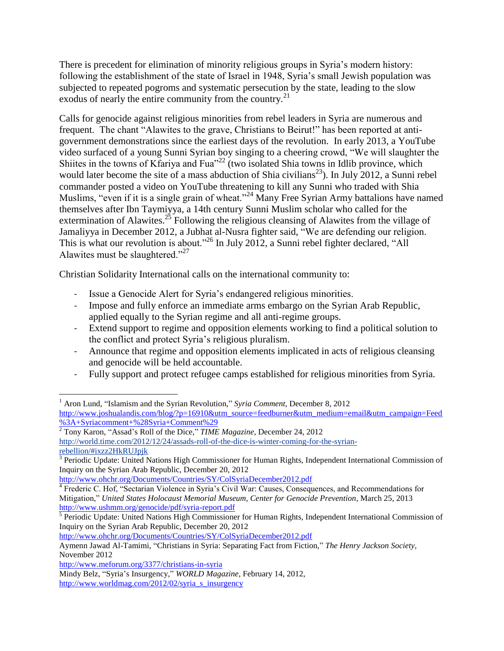There is precedent for elimination of minority religious groups in Syria's modern history: following the establishment of the state of Israel in 1948, Syria's small Jewish population was subjected to repeated pogroms and systematic persecution by the state, leading to the slow exodus of nearly the entire community from the country.<sup>21</sup>

Calls for genocide against religious minorities from rebel leaders in Syria are numerous and frequent. The chant "Alawites to the grave, Christians to Beirut!" has been reported at antigovernment demonstrations since the earliest days of the revolution. In early 2013, a YouTube video surfaced of a young Sunni Syrian boy singing to a cheering crowd, "We will slaughter the Shiites in the towns of Kfariya and Fua<sup> $22$ </sup> (two isolated Shia towns in Idlib province, which would later become the site of a mass abduction of Shia civilians<sup>23</sup>). In July 2012, a Sunni rebel commander posted a video on YouTube threatening to kill any Sunni who traded with Shia Muslims, "even if it is a single grain of wheat."<sup>24</sup> Many Free Syrian Army battalions have named themselves after Ibn Taymiyya, a 14th century Sunni Muslim scholar who called for the extermination of Alawites.<sup>25</sup> Following the religious cleansing of Alawites from the village of Jamaliyya in December 2012, a Jubhat al-Nusra fighter said, "We are defending our religion. This is what our revolution is about."<sup>26</sup> In July 2012, a Sunni rebel fighter declared, "All Alawites must be slaughtered."<sup>27</sup>

Christian Solidarity International calls on the international community to:

- Issue a Genocide Alert for Syria's endangered religious minorities.
- Impose and fully enforce an immediate arms embargo on the Syrian Arab Republic, applied equally to the Syrian regime and all anti-regime groups.
- Extend support to regime and opposition elements working to find a political solution to the conflict and protect Syria's religious pluralism.
- Announce that regime and opposition elements implicated in acts of religious cleansing and genocide will be held accountable.
- Fully support and protect refugee camps established for religious minorities from Syria.

<sup>2</sup> Tony Karon, "Assad's Roll of the Dice," *TIME Magazine*, December 24, 2012

<http://www.ohchr.org/Documents/Countries/SY/ColSyriaDecember2012.pdf>

<http://www.ohchr.org/Documents/Countries/SY/ColSyriaDecember2012.pdf>

l

<sup>&</sup>lt;sup>1</sup> Aron Lund, "Islamism and the Syrian Revolution," *Syria Comment*, December 8, 2012 [http://www.joshualandis.com/blog/?p=16910&utm\\_source=feedburner&utm\\_medium=email&utm\\_campaign=Feed](http://www.joshualandis.com/blog/?p=16910&utm_source=feedburner&utm_medium=email&utm_campaign=Feed%3A+Syriacomment+%28Syria+Comment%29) [%3A+Syriacomment+%28Syria+Comment%29](http://www.joshualandis.com/blog/?p=16910&utm_source=feedburner&utm_medium=email&utm_campaign=Feed%3A+Syriacomment+%28Syria+Comment%29)

[http://world.time.com/2012/12/24/assads-roll-of-the-dice-is-winter-coming-for-the-syrian](http://world.time.com/2012/12/24/assads-roll-of-the-dice-is-winter-coming-for-the-syrian-rebellion/#ixzz2HkRUJpjk)[rebellion/#ixzz2HkRUJpjk](http://world.time.com/2012/12/24/assads-roll-of-the-dice-is-winter-coming-for-the-syrian-rebellion/#ixzz2HkRUJpjk)

<sup>&</sup>lt;sup>3</sup> Periodic Update: United Nations High Commissioner for Human Rights, Independent International Commission of Inquiry on the Syrian Arab Republic, December 20, 2012

<sup>&</sup>lt;sup>4</sup> Frederic C. Hof, "Sectarian Violence in Syria's Civil War: Causes, Consequences, and Recommendations for Mitigation," *United States Holocaust Memorial Museum, Center for Genocide Prevention*, March 25, 2013

<http://www.ushmm.org/genocide/pdf/syria-report.pdf><br><sup>5</sup> Periodic Update: United Nations High Commissioner for Human Rights, Independent International Commission of Inquiry on the Syrian Arab Republic, December 20, 2012

Aymenn Jawad Al-Tamimi, "Christians in Syria: Separating Fact from Fiction," *The Henry Jackson Society*, November 2012

<http://www.meforum.org/3377/christians-in-syria>

Mindy Belz, "Syria's Insurgency," *WORLD Magazine*, February 14, 2012,

[http://www.worldmag.com/2012/02/syria\\_s\\_insurgency](http://www.worldmag.com/2012/02/syria_s_insurgency)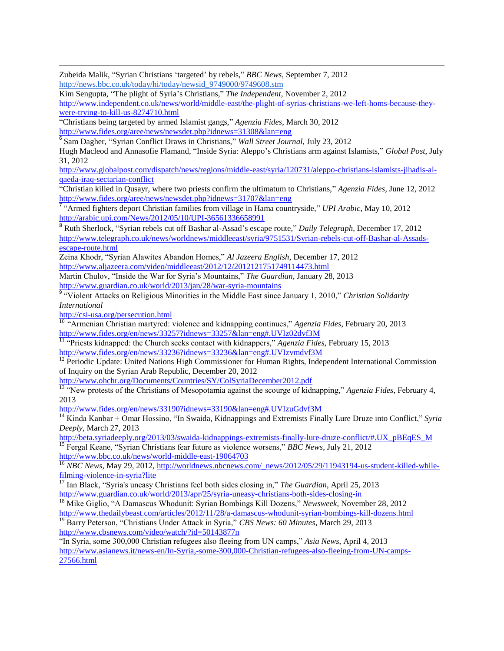Zubeida Malik, "Syrian Christians 'targeted' by rebels," *BBC News*, September 7, 2012 [http://news.bbc.co.uk/today/hi/today/newsid\\_9749000/9749608.stm](http://news.bbc.co.uk/today/hi/today/newsid_9749000/9749608.stm)

Kim Sengupta, "The plight of Syria's Christians," *The Independent*, November 2, 2012 [http://www.independent.co.uk/news/world/middle-east/the-plight-of-syrias-christians-we-left-homs-because-they](http://www.independent.co.uk/news/world/middle-east/the-plight-of-syrias-christians-we-left-homs-because-they-were-trying-to-kill-us-8274710.html)[were-trying-to-kill-us-8274710.html](http://www.independent.co.uk/news/world/middle-east/the-plight-of-syrias-christians-we-left-homs-because-they-were-trying-to-kill-us-8274710.html)

"Christians being targeted by armed Islamist gangs," *Agenzia Fides*, March 30, 2012 <http://www.fides.org/aree/news/newsdet.php?idnews=31308&lan=eng>

6 Sam Dagher, "Syrian Conflict Draws in Christians," *Wall Street Journal*, July 23, 2012

Hugh Macleod and Annasofie Flamand, "Inside Syria: Aleppo's Christians arm against Islamists," *Global Post*, July 31, 2012

[http://www.globalpost.com/dispatch/news/regions/middle-east/syria/120731/aleppo-christians-islamists-jihadis-al](http://www.globalpost.com/dispatch/news/regions/middle-east/syria/120731/aleppo-christians-islamists-jihadis-al-qaeda-iraq-sectarian-conflict)[qaeda-iraq-sectarian-conflict](http://www.globalpost.com/dispatch/news/regions/middle-east/syria/120731/aleppo-christians-islamists-jihadis-al-qaeda-iraq-sectarian-conflict)

"Christian killed in Qusayr, where two priests confirm the ultimatum to Christians," *Agenzia Fides*, June 12, 2012 <http://www.fides.org/aree/news/newsdet.php?idnews=31707&lan=eng>

7 "Armed fighters deport Christian families from village in Hama countryside," *UPI Arabic*, May 10, 2012 <http://arabic.upi.com/News/2012/05/10/UPI-36561336658991>

8 Ruth Sherlock, "Syrian rebels cut off Bashar al-Assad's escape route," *Daily Telegraph*, December 17, 2012 [http://www.telegraph.co.uk/news/worldnews/middleeast/syria/9751531/Syrian-rebels-cut-off-Bashar-al-Assads](http://www.telegraph.co.uk/news/worldnews/middleeast/syria/9751531/Syrian-rebels-cut-off-Bashar-al-Assads-escape-route.html)[escape-route.html](http://www.telegraph.co.uk/news/worldnews/middleeast/syria/9751531/Syrian-rebels-cut-off-Bashar-al-Assads-escape-route.html)

Zeina Khodr, "Syrian Alawites Abandon Homes," *Al Jazeera English*, December 17, 2012 <http://www.aljazeera.com/video/middleeast/2012/12/2012121751749114473.html>

Martin Chulov, "Inside the War for Syria's Mountains," *The Guardian*, January 28, 2013 <http://www.guardian.co.uk/world/2013/jan/28/war-syria-mountains>

<sup>9</sup> "Violent Attacks on Religious Minorities in the Middle East since January 1, 2010," *Christian Solidarity International*

<http://csi-usa.org/persecution.html>

 $\overline{\phantom{a}}$ 

<sup>10</sup> "Armenian Christian martyred: violence and kidnapping continues," *Agenzia Fides*, February 20, 2013 <http://www.fides.org/en/news/33257?idnews=33257&lan=eng#.UVIz02dvf3M>

11 "Priests kidnapped: the Church seeks contact with kidnappers," *Agenzia Fides*, February 15, 2013 <http://www.fides.org/en/news/33236?idnews=33236&lan=eng#.UVIzvmdvf3M>

<sup>12</sup> Periodic Update: United Nations High Commissioner for Human Rights, Independent International Commission of Inquiry on the Syrian Arab Republic, December 20, 2012

<http://www.ohchr.org/Documents/Countries/SY/ColSyriaDecember2012.pdf>

<sup>13</sup> "New protests of the Christians of Mesopotamia against the scourge of kidnapping," *Agenzia Fides*, February 4, 2013

<http://www.fides.org/en/news/33190?idnews=33190&lan=eng#.UVIzuGdvf3M>

<sup>14</sup> Kinda Kanbar + Omar Hossino, "In Swaida, Kidnappings and Extremists Finally Lure Druze into Conflict," *Syria Deeply*, March 27, 2013

[http://beta.syriadeeply.org/2013/03/swaida-kidnappings-extremists-finally-lure-druze-conflict/#.UX\\_pBEqES\\_M](http://beta.syriadeeply.org/2013/03/swaida-kidnappings-extremists-finally-lure-druze-conflict/#.UX_pBEqES_M) <sup>15</sup> Fergal Keane, "Syrian Christians fear future as violence worsens," *BBC News*, July 21, 2012 <http://www.bbc.co.uk/news/world-middle-east-19064703>

<sup>16</sup> *NBC News*, May 29, 2012, [http://worldnews.nbcnews.com/\\_news/2012/05/29/11943194-us-student-killed-while](http://worldnews.nbcnews.com/_news/2012/05/29/11943194-us-student-killed-while-filming-violence-in-syria?lite)[filming-violence-in-syria?lite](http://worldnews.nbcnews.com/_news/2012/05/29/11943194-us-student-killed-while-filming-violence-in-syria?lite)

<sup>17</sup> Ian Black, "Syria's uneasy Christians feel both sides closing in," *The Guardian*, April 25, 2013 <http://www.guardian.co.uk/world/2013/apr/25/syria-uneasy-christians-both-sides-closing-in>

<sup>18</sup> Mike Giglio, "A Damascus Whodunit: Syrian Bombings Kill Dozens," *Newsweek*, November 28, 2012 <http://www.thedailybeast.com/articles/2012/11/28/a-damascus-whodunit-syrian-bombings-kill-dozens.html>

<sup>19</sup> Barry Peterson, "Christians Under Attack in Syria," *CBS News: 60 Minutes*, March 29, 2013 <http://www.cbsnews.com/video/watch/?id=50143877n>

"In Syria, some 300,000 Christian refugees also fleeing from UN camps," *Asia News*, April 4, 2013 [http://www.asianews.it/news-en/In-Syria,-some-300,000-Christian-refugees-also-fleeing-from-UN-camps-](http://www.asianews.it/news-en/In-Syria,-some-300,000-Christian-refugees-also-fleeing-from-UN-camps-27566.html)[27566.html](http://www.asianews.it/news-en/In-Syria,-some-300,000-Christian-refugees-also-fleeing-from-UN-camps-27566.html)